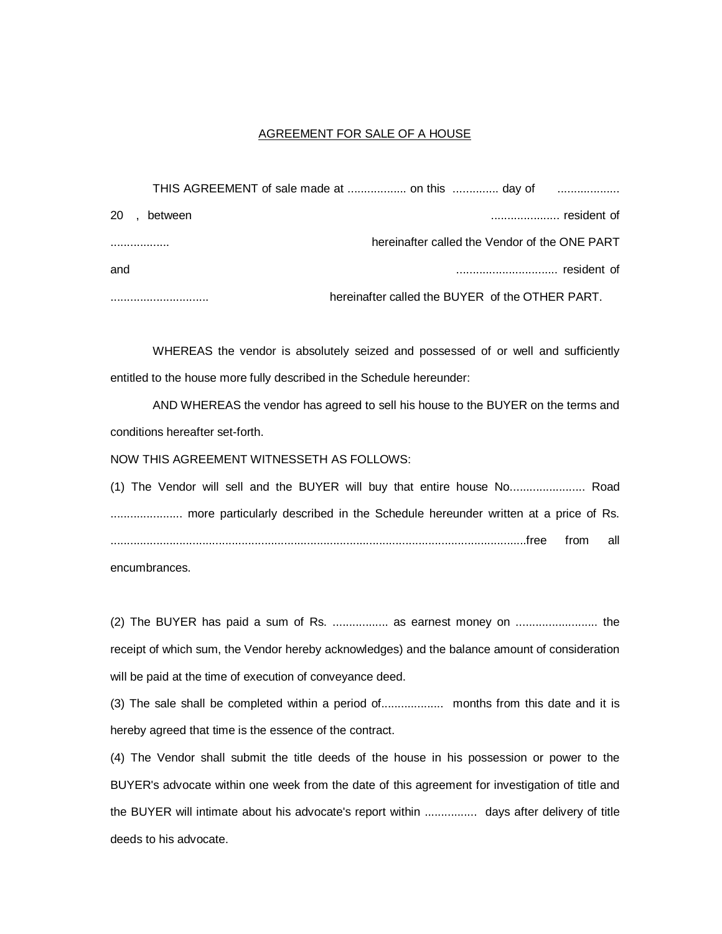## AGREEMENT FOR SALE OF A HOUSE

|           |         | THIS AGREEMENT of sale made at  on this  day of |  |
|-----------|---------|-------------------------------------------------|--|
| <b>20</b> | between |                                                 |  |
|           |         | hereinafter called the Vendor of the ONE PART   |  |
| and       |         |                                                 |  |
|           |         | hereinafter called the BUYER of the OTHER PART. |  |

WHEREAS the vendor is absolutely seized and possessed of or well and sufficiently entitled to the house more fully described in the Schedule hereunder:

AND WHEREAS the vendor has agreed to sell his house to the BUYER on the terms and conditions hereafter set-forth.

NOW THIS AGREEMENT WITNESSETH AS FOLLOWS:

(1) The Vendor will sell and the BUYER will buy that entire house No....................... Road ...................... more particularly described in the Schedule hereunder written at a price of Rs. ...............................................................................................................................free from all

encumbrances.

(2) The BUYER has paid a sum of Rs. ................. as earnest money on ......................... the receipt of which sum, the Vendor hereby acknowledges) and the balance amount of consideration will be paid at the time of execution of conveyance deed.

(3) The sale shall be completed within a period of................... months from this date and it is hereby agreed that time is the essence of the contract.

(4) The Vendor shall submit the title deeds of the house in his possession or power to the BUYER's advocate within one week from the date of this agreement for investigation of title and the BUYER will intimate about his advocate's report within ................ days after delivery of title deeds to his advocate.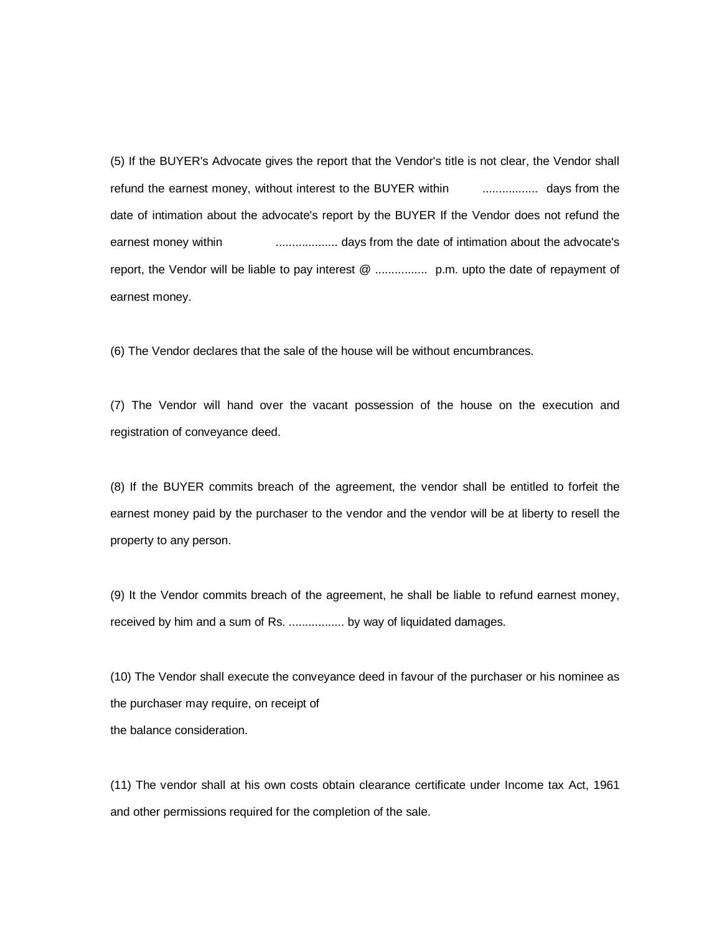(5) If the BUYER's Advocate gives the report that the Vendor's title is not clear, the Vendor shall refund the earnest money, without interest to the BUYER within ................. days from the date of intimation about the advocate's report by the BUYER If the Vendor does not refund the earnest money within ................... days from the date of intimation about the advocate's report, the Vendor will be liable to pay interest @ ................ p.m. upto the date of repayment of earnest money.

(6) The Vendor declares that the sale of the house will be without encumbrances.

(7) The Vendor will hand over the vacant possession of the house on the execution and registration of conveyance deed.

(8) If the BUYER commits breach of the agreement, the vendor shall be entitled to forfeit the earnest money paid by the purchaser to the vendor and the vendor will be at liberty to resell the property to any person.

(9) It the Vendor commits breach of the agreement, he shall be liable to refund earnest money, received by him and a sum of Rs. ................. by way of liquidated damages.

(10) The Vendor shall execute the conveyance deed in favour of the purchaser or his nominee as the purchaser may require, on receipt of the balance consideration.

(11) The vendor shall at his own costs obtain clearance certificate under Income tax Act, 1961 and other permissions required for the completion of the sale.